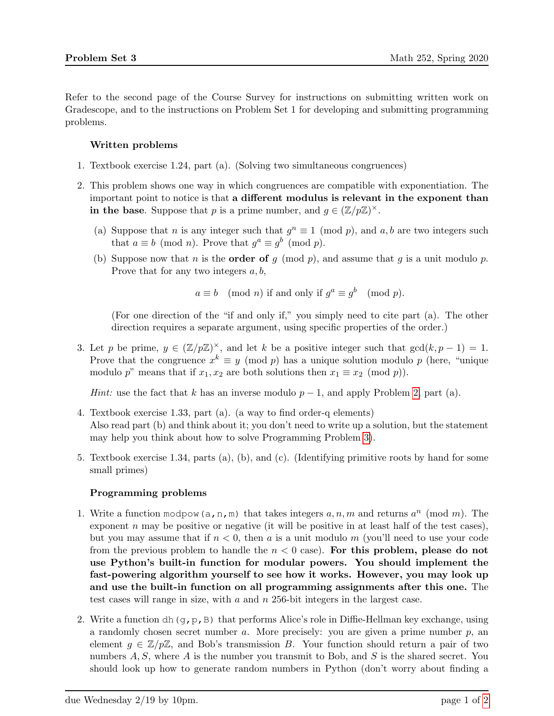Refer to the second page of the Course Survey for instructions on submitting written work on Gradescope, and to the instructions on Problem Set 1 for developing and submitting programming problems.

## Written problems

- 1. Textbook exercise 1.24, part (a). (Solving two simultaneous congruences)
- <span id="page-0-0"></span>2. This problem shows one way in which congruences are compatible with exponentiation. The important point to notice is that a different modulus is relevant in the exponent than in the base. Suppose that p is a prime number, and  $g \in (\mathbb{Z}/p\mathbb{Z})^{\times}$ .
	- (a) Suppose that n is any integer such that  $g^n \equiv 1 \pmod{p}$ , and  $a, b$  are two integers such that  $a \equiv b \pmod{n}$ . Prove that  $g^a \equiv g^b \pmod{p}$ .
	- (b) Suppose now that n is the **order of** g (mod p), and assume that g is a unit modulo p. Prove that for any two integers  $a, b$ ,

 $a \equiv b \pmod{n}$  if and only if  $g^a \equiv g^b \pmod{p}$ .

(For one direction of the "if and only if," you simply need to cite part (a). The other direction requires a separate argument, using specific properties of the order.)

3. Let p be prime,  $y \in (\mathbb{Z}/p\mathbb{Z})^{\times}$ , and let k be a positive integer such that  $gcd(k, p - 1) = 1$ . Prove that the congruence  $x^k \equiv y \pmod{p}$  has a unique solution modulo p (here, "unique modulo p" means that if  $x_1, x_2$  are both solutions then  $x_1 \equiv x_2 \pmod{p}$ .

*Hint:* use the fact that k has an inverse modulo  $p - 1$ , and apply Problem [2,](#page-0-0) part (a).

- <span id="page-0-1"></span>4. Textbook exercise 1.33, part (a). (a way to find order-q elements) Also read part (b) and think about it; you don't need to write up a solution, but the statement may help you think about how to solve Programming Problem [3\)](#page-1-0).
- 5. Textbook exercise 1.34, parts (a), (b), and (c). (Identifying primitive roots by hand for some small primes)

## Programming problems

- 1. Write a function modpow(a,n,m) that takes integers  $a, n, m$  and returns  $a^n \pmod{m}$ . The exponent  $n$  may be positive or negative (it will be positive in at least half of the test cases), but you may assume that if  $n < 0$ , then a is a unit modulo m (you'll need to use your code from the previous problem to handle the  $n < 0$  case). For this problem, please do not use Python's built-in function for modular powers. You should implement the fast-powering algorithm yourself to see how it works. However, you may look up and use the built-in function on all programming assignments after this one. The test cases will range in size, with a and n 256-bit integers in the largest case.
- 2. Write a function dh(g, p, B) that performs Alice's role in Diffie-Hellman key exchange, using a randomly chosen secret number a. More precisely: you are given a prime number p, an element  $g \in \mathbb{Z}/p\mathbb{Z}$ , and Bob's transmission B. Your function should return a pair of two numbers  $A, S$ , where  $A$  is the number you transmit to Bob, and  $S$  is the shared secret. You should look up how to generate random numbers in Python (don't worry about finding a